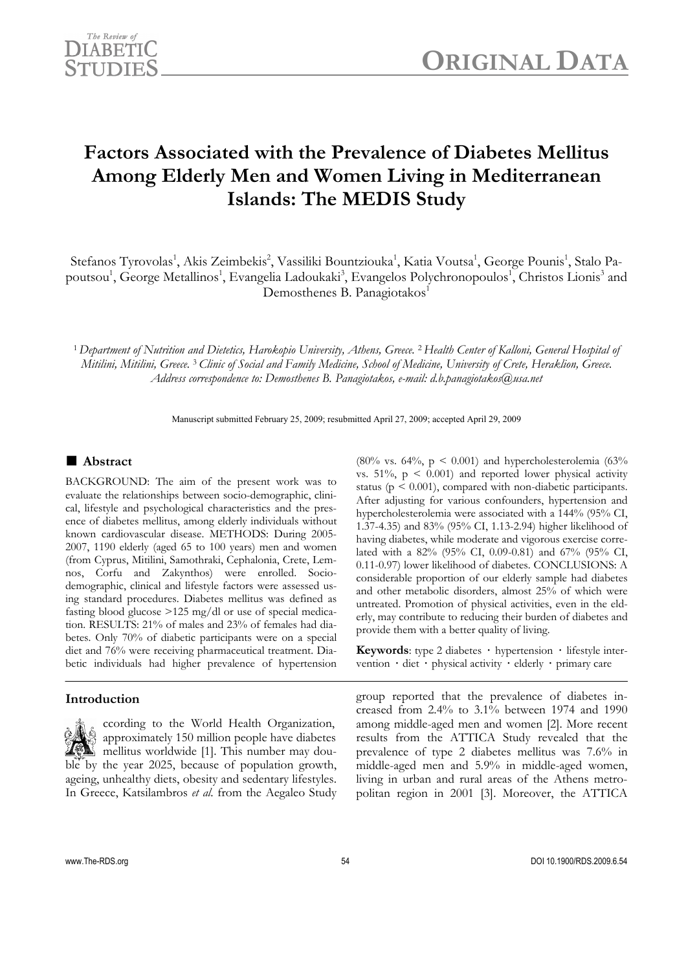

# **Factors Associated with the Prevalence of Diabetes Mellitus Among Elderly Men and Women Living in Mediterranean Islands: The MEDIS Study**

Stefanos Tyrovolas<sup>1</sup>, Akis Zeimbekis<sup>2</sup>, Vassiliki Bountziouka<sup>1</sup>, Katia Voutsa<sup>1</sup>, George Pounis<sup>1</sup>, Stalo Papoutsou<sup>1</sup>, George Metallinos<sup>1</sup>, Evangelia Ladoukaki<sup>3</sup>, Evangelos Polychronopoulos<sup>1</sup>, Christos Lionis<sup>3</sup> and Demosthenes B. Panagiotakos<sup>1</sup>

<sup>1</sup> *Department of Nutrition and Dietetics, Harokopio University, Athens, Greece.* 2 *Health Center of Kalloni, General Hospital of Mitilini, Mitilini, Greece.* 3 *Clinic of Social and Family Medicine, School of Medicine, University of Crete, Heraklion, Greece. Address correspondence to: Demosthenes B. Panagiotakos, e-mail: d.b.panagiotakos@usa.net* 

Manuscript submitted February 25, 2009; resubmitted April 27, 2009; accepted April 29, 2009

# ■ **Abstract**

BACKGROUND: The aim of the present work was to evaluate the relationships between socio-demographic, clinical, lifestyle and psychological characteristics and the presence of diabetes mellitus, among elderly individuals without known cardiovascular disease. METHODS: During 2005- 2007, 1190 elderly (aged 65 to 100 years) men and women (from Cyprus, Mitilini, Samothraki, Cephalonia, Crete, Lemnos, Corfu and Zakynthos) were enrolled. Sociodemographic, clinical and lifestyle factors were assessed using standard procedures. Diabetes mellitus was defined as fasting blood glucose >125 mg/dl or use of special medication. RESULTS: 21% of males and 23% of females had diabetes. Only 70% of diabetic participants were on a special diet and 76% were receiving pharmaceutical treatment. Diabetic individuals had higher prevalence of hypertension

## **Introduction**

 ccording to the World Health Organization, approximately 150 million people have diabetes mellitus worldwide [1]. This number may double by the year 2025, because of population growth, ageing, unhealthy diets, obesity and sedentary lifestyles. In Greece, Katsilambros *et al*. from the Aegaleo Study

 $(80\% \text{ vs. } 64\%, \text{ p} \leq 0.001)$  and hypercholesterolemia  $(63\% \text{ m})$ vs.  $51\%$ ,  $p \leq 0.001$ ) and reported lower physical activity status ( $p \leq 0.001$ ), compared with non-diabetic participants. After adjusting for various confounders, hypertension and hypercholesterolemia were associated with a 144% (95% CI, 1.37-4.35) and 83% (95% CI, 1.13-2.94) higher likelihood of having diabetes, while moderate and vigorous exercise correlated with a 82% (95% CI, 0.09-0.81) and 67% (95% CI, 0.11-0.97) lower likelihood of diabetes. CONCLUSIONS: A considerable proportion of our elderly sample had diabetes and other metabolic disorders, almost 25% of which were untreated. Promotion of physical activities, even in the elderly, may contribute to reducing their burden of diabetes and provide them with a better quality of living.

**Keywords**: type 2 diabetes **·** hypertension **·** lifestyle intervention **·** diet **·** physical activity **·** elderly **·** primary care

group reported that the prevalence of diabetes increased from 2.4% to 3.1% between 1974 and 1990 among middle-aged men and women [2]. More recent results from the ATTICA Study revealed that the prevalence of type 2 diabetes mellitus was 7.6% in middle-aged men and 5.9% in middle-aged women, living in urban and rural areas of the Athens metropolitan region in 2001 [3]. Moreover, the ATTICA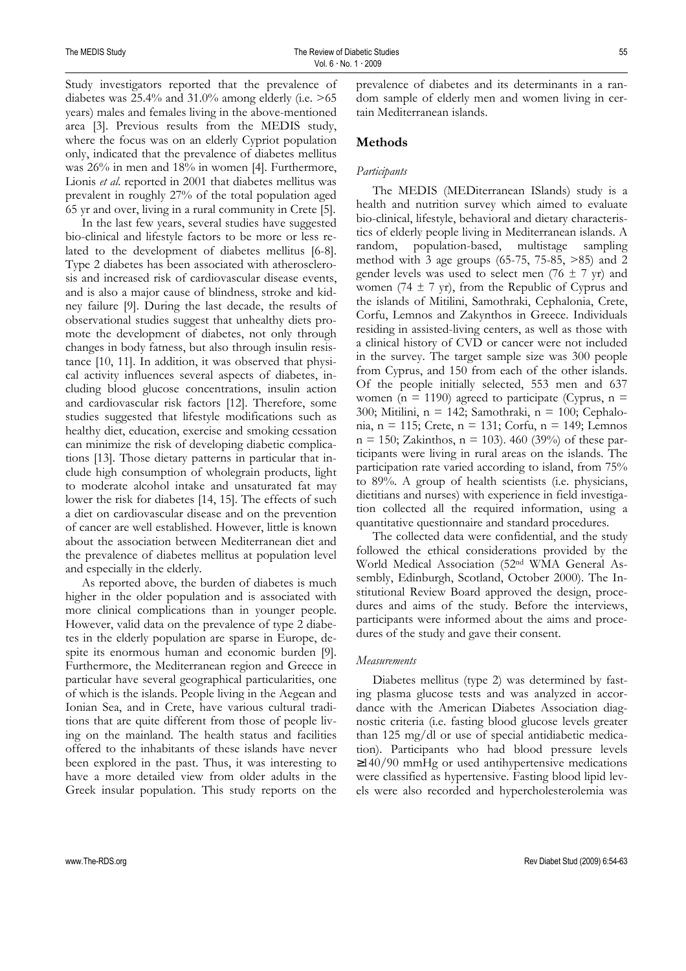Study investigators reported that the prevalence of diabetes was  $25.4\%$  and  $31.0\%$  among elderly (i.e.  $>65$ years) males and females living in the above-mentioned area [3]. Previous results from the MEDIS study, where the focus was on an elderly Cypriot population only, indicated that the prevalence of diabetes mellitus was 26% in men and 18% in women [4]. Furthermore, Lionis *et al*. reported in 2001 that diabetes mellitus was prevalent in roughly 27% of the total population aged 65 yr and over, living in a rural community in Crete [5].

In the last few years, several studies have suggested bio-clinical and lifestyle factors to be more or less related to the development of diabetes mellitus [6-8]. Type 2 diabetes has been associated with atherosclerosis and increased risk of cardiovascular disease events, and is also a major cause of blindness, stroke and kidney failure [9]. During the last decade, the results of observational studies suggest that unhealthy diets promote the development of diabetes, not only through changes in body fatness, but also through insulin resistance [10, 11]. In addition, it was observed that physical activity influences several aspects of diabetes, including blood glucose concentrations, insulin action and cardiovascular risk factors [12]. Therefore, some studies suggested that lifestyle modifications such as healthy diet, education, exercise and smoking cessation can minimize the risk of developing diabetic complications [13]. Those dietary patterns in particular that include high consumption of wholegrain products, light to moderate alcohol intake and unsaturated fat may lower the risk for diabetes [14, 15]. The effects of such a diet on cardiovascular disease and on the prevention of cancer are well established. However, little is known about the association between Mediterranean diet and the prevalence of diabetes mellitus at population level and especially in the elderly.

As reported above, the burden of diabetes is much higher in the older population and is associated with more clinical complications than in younger people. However, valid data on the prevalence of type 2 diabetes in the elderly population are sparse in Europe, despite its enormous human and economic burden [9]. Furthermore, the Mediterranean region and Greece in particular have several geographical particularities, one of which is the islands. People living in the Aegean and Ionian Sea, and in Crete, have various cultural traditions that are quite different from those of people living on the mainland. The health status and facilities offered to the inhabitants of these islands have never been explored in the past. Thus, it was interesting to have a more detailed view from older adults in the Greek insular population. This study reports on the prevalence of diabetes and its determinants in a random sample of elderly men and women living in certain Mediterranean islands.

# **Methods**

## *Participants*

The MEDIS (MEDiterranean ISlands) study is a health and nutrition survey which aimed to evaluate bio-clinical, lifestyle, behavioral and dietary characteristics of elderly people living in Mediterranean islands. A random, population-based, multistage sampling method with 3 age groups (65-75, 75-85, >85) and 2 gender levels was used to select men (76  $\pm$  7 yr) and women (74  $\pm$  7 yr), from the Republic of Cyprus and the islands of Mitilini, Samothraki, Cephalonia, Crete, Corfu, Lemnos and Zakynthos in Greece. Individuals residing in assisted-living centers, as well as those with a clinical history of CVD or cancer were not included in the survey. The target sample size was 300 people from Cyprus, and 150 from each of the other islands. Of the people initially selected, 553 men and 637 women ( $n = 1190$ ) agreed to participate (Cyprus,  $n =$ 300; Mitilini, n = 142; Samothraki, n = 100; Cephalonia, n = 115; Crete, n = 131; Corfu, n = 149; Lemnos  $n = 150$ ; Zakinthos,  $n = 103$ ). 460 (39%) of these participants were living in rural areas on the islands. The participation rate varied according to island, from 75% to 89%. A group of health scientists (i.e. physicians, dietitians and nurses) with experience in field investigation collected all the required information, using a quantitative questionnaire and standard procedures.

The collected data were confidential, and the study followed the ethical considerations provided by the World Medical Association (52nd WMA General Assembly, Edinburgh, Scotland, October 2000). The Institutional Review Board approved the design, procedures and aims of the study. Before the interviews, participants were informed about the aims and procedures of the study and gave their consent.

# *Measurements*

Diabetes mellitus (type 2) was determined by fasting plasma glucose tests and was analyzed in accordance with the American Diabetes Association diagnostic criteria (i.e. fasting blood glucose levels greater than 125 mg/dl or use of special antidiabetic medication). Participants who had blood pressure levels ≥140/90 mmHg or used antihypertensive medications were classified as hypertensive. Fasting blood lipid levels were also recorded and hypercholesterolemia was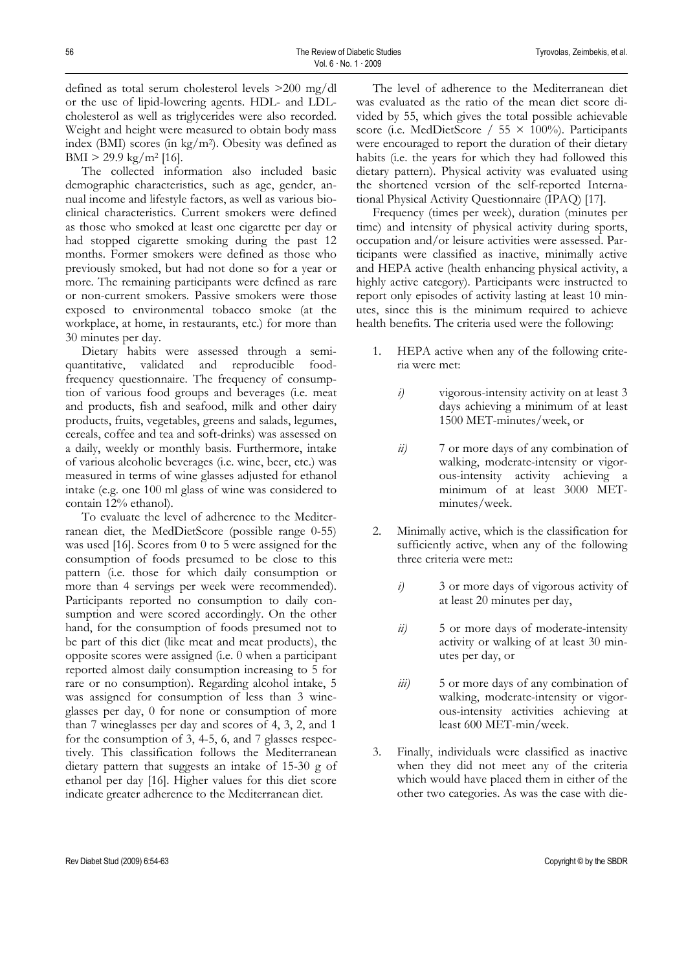defined as total serum cholesterol levels >200 mg/dl or the use of lipid-lowering agents. HDL- and LDLcholesterol as well as triglycerides were also recorded. Weight and height were measured to obtain body mass index (BMI) scores (in kg/m2). Obesity was defined as  $BMI > 29.9 \text{ kg/m}^2 [16].$ 

The collected information also included basic demographic characteristics, such as age, gender, annual income and lifestyle factors, as well as various bioclinical characteristics. Current smokers were defined as those who smoked at least one cigarette per day or had stopped cigarette smoking during the past 12 months. Former smokers were defined as those who previously smoked, but had not done so for a year or more. The remaining participants were defined as rare or non-current smokers. Passive smokers were those exposed to environmental tobacco smoke (at the workplace, at home, in restaurants, etc.) for more than 30 minutes per day.

Dietary habits were assessed through a semiquantitative, validated and reproducible foodfrequency questionnaire. The frequency of consumption of various food groups and beverages (i.e. meat and products, fish and seafood, milk and other dairy products, fruits, vegetables, greens and salads, legumes, cereals, coffee and tea and soft-drinks) was assessed on a daily, weekly or monthly basis. Furthermore, intake of various alcoholic beverages (i.e. wine, beer, etc.) was measured in terms of wine glasses adjusted for ethanol intake (e.g. one 100 ml glass of wine was considered to contain 12% ethanol).

To evaluate the level of adherence to the Mediterranean diet, the MedDietScore (possible range 0-55) was used [16]. Scores from 0 to 5 were assigned for the consumption of foods presumed to be close to this pattern (i.e. those for which daily consumption or more than 4 servings per week were recommended). Participants reported no consumption to daily consumption and were scored accordingly. On the other hand, for the consumption of foods presumed not to be part of this diet (like meat and meat products), the opposite scores were assigned (i.e. 0 when a participant reported almost daily consumption increasing to 5 for rare or no consumption). Regarding alcohol intake, 5 was assigned for consumption of less than 3 wineglasses per day, 0 for none or consumption of more than 7 wineglasses per day and scores of 4, 3, 2, and 1 for the consumption of 3, 4-5, 6, and 7 glasses respectively. This classification follows the Mediterranean dietary pattern that suggests an intake of 15-30 g of ethanol per day [16]. Higher values for this diet score indicate greater adherence to the Mediterranean diet.

The level of adherence to the Mediterranean diet was evaluated as the ratio of the mean diet score divided by 55, which gives the total possible achievable score (i.e. MedDietScore / 55  $\times$  100%). Participants were encouraged to report the duration of their dietary habits (i.e. the years for which they had followed this dietary pattern). Physical activity was evaluated using the shortened version of the self-reported International Physical Activity Questionnaire (IPAQ) [17].

Frequency (times per week), duration (minutes per time) and intensity of physical activity during sports, occupation and/or leisure activities were assessed. Participants were classified as inactive, minimally active and HEPA active (health enhancing physical activity, a highly active category). Participants were instructed to report only episodes of activity lasting at least 10 minutes, since this is the minimum required to achieve health benefits. The criteria used were the following:

- 1. HEPA active when any of the following criteria were met:
	- *i)* vigorous-intensity activity on at least 3 days achieving a minimum of at least 1500 MET-minutes/week, or
	- *ii*) 7 or more days of any combination of walking, moderate-intensity or vigorous-intensity activity achieving a minimum of at least 3000 METminutes/week.
- 2. Minimally active, which is the classification for sufficiently active, when any of the following three criteria were met::
	- *i)* 3 or more days of vigorous activity of at least 20 minutes per day,
	- *ii*) 5 or more days of moderate-intensity activity or walking of at least 30 minutes per day, or
	- *iii)* 5 or more days of any combination of walking, moderate-intensity or vigorous-intensity activities achieving at least 600 MET-min/week.
- 3. Finally, individuals were classified as inactive when they did not meet any of the criteria which would have placed them in either of the other two categories. As was the case with die-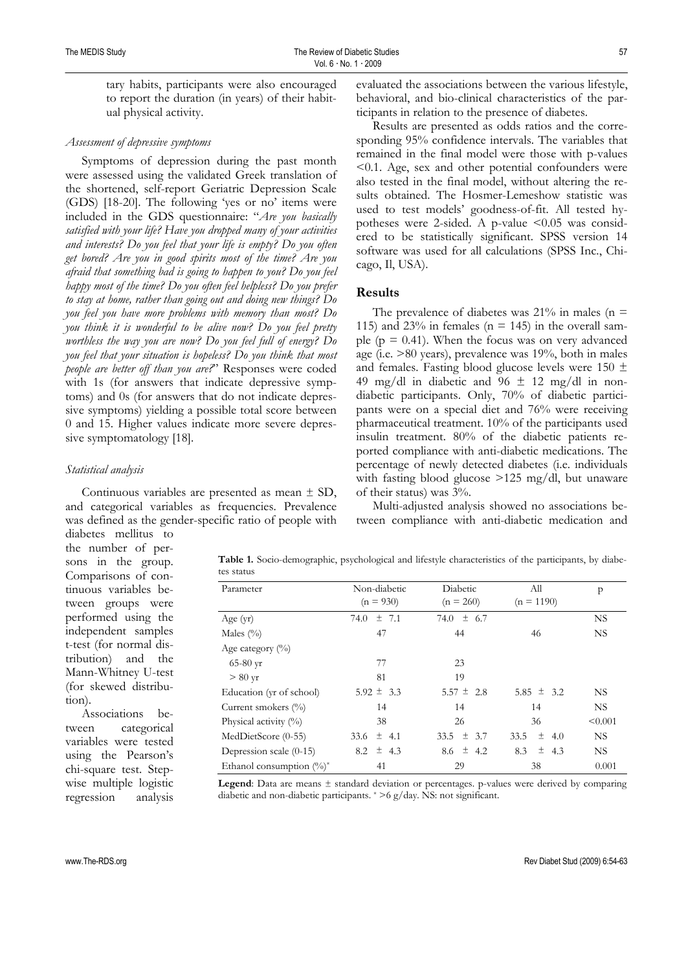tary habits, participants were also encouraged to report the duration (in years) of their habitual physical activity.

#### *Assessment of depressive symptoms*

Symptoms of depression during the past month were assessed using the validated Greek translation of the shortened, self-report Geriatric Depression Scale (GDS) [18-20]. The following 'yes or no' items were included in the GDS questionnaire: "*Are you basically satisfied with your life? Have you dropped many of your activities and interests? Do you feel that your life is empty? Do you often get bored? Are you in good spirits most of the time? Are you afraid that something bad is going to happen to you? Do you feel happy most of the time? Do you often feel helpless? Do you prefer to stay at home, rather than going out and doing new things? Do you feel you have more problems with memory than most? Do you think it is wonderful to be alive now? Do you feel pretty worthless the way you are now? Do you feel full of energy? Do you feel that your situation is hopeless? Do you think that most people are better off than you are?*" Responses were coded with 1s (for answers that indicate depressive symptoms) and 0s (for answers that do not indicate depressive symptoms) yielding a possible total score between 0 and 15. Higher values indicate more severe depressive symptomatology [18].

#### *Statistical analysis*

Continuous variables are presented as mean ± SD, and categorical variables as frequencies. Prevalence was defined as the gender-specific ratio of people with

evaluated the associations between the various lifestyle, behavioral, and bio-clinical characteristics of the participants in relation to the presence of diabetes.

Results are presented as odds ratios and the corresponding 95% confidence intervals. The variables that remained in the final model were those with p-values <0.1. Age, sex and other potential confounders were also tested in the final model, without altering the results obtained. The Hosmer-Lemeshow statistic was used to test models' goodness-of-fit. All tested hypotheses were 2-sided. A p-value  $\leq 0.05$  was considered to be statistically significant. SPSS version 14 software was used for all calculations (SPSS Inc., Chicago, Il, USA).

## **Results**

The prevalence of diabetes was  $21\%$  in males (n = 115) and 23% in females ( $n = 145$ ) in the overall sample ( $p = 0.41$ ). When the focus was on very advanced age (i.e. >80 years), prevalence was 19%, both in males and females. Fasting blood glucose levels were  $150 \pm$ 49 mg/dl in diabetic and 96  $\pm$  12 mg/dl in nondiabetic participants. Only, 70% of diabetic participants were on a special diet and 76% were receiving pharmaceutical treatment. 10% of the participants used insulin treatment. 80% of the diabetic patients reported compliance with anti-diabetic medications. The percentage of newly detected diabetes (i.e. individuals with fasting blood glucose >125 mg/dl, but unaware of their status) was 3%.

Multi-adjusted analysis showed no associations between compliance with anti-diabetic medication and

diabetes mellitus to the number of persons in the group. Comparisons of continuous variables between groups were performed using the independent samples t-test (for normal distribution) and the Mann-Whitney U-test (for skewed distribution).

Associations between categorical variables were tested using the Pearson's chi-square test. Stepwise multiple logistic regression analysis **Table 1.** Socio-demographic, psychological and lifestyle characteristics of the participants, by diabetes status

| Parameter                    | Non-diabetic      | Diabetic       | All               | p         |
|------------------------------|-------------------|----------------|-------------------|-----------|
|                              | $(n = 930)$       | $(n = 260)$    | $(n = 1190)$      |           |
| Age (yr)                     | $\pm$ 7.1<br>74.0 | 74.0 $\pm$ 6.7 |                   | NS.       |
| Males $(\%)$                 | 47                | 44             | 46                | <b>NS</b> |
| Age category $(\%)$          |                   |                |                   |           |
| $65-80 \text{ yr}$           | 77                | 23             |                   |           |
| $> 80$ yr                    | 81                | 19             |                   |           |
| Education (yr of school)     | $5.92 \pm 3.3$    | $5.57 \pm 2.8$ | 5.85 $\pm$ 3.2    | <b>NS</b> |
| Current smokers (%)          | 14                | 14             | 14                | NS.       |
| Physical activity $(\%)$     | 38                | 26             | 36                | < 0.001   |
| MedDietScore (0-55)          | 33.6 $\pm$ 4.1    | 33.5 $\pm$ 3.7 | 土<br>33.5<br>-4.0 | <b>NS</b> |
| Depression scale (0-15)      | $8.2 \pm 4.3$     | $8.6 \pm 4.2$  | $\pm$ 4.3<br>8.3  | NS.       |
| Ethanol consumption $(\%)^*$ | 41                | 29             | 38                | 0.001     |

**Legend**: Data are means  $\pm$  standard deviation or percentages. p-values were derived by comparing diabetic and non-diabetic participants. \* >6 g/day. NS: not significant.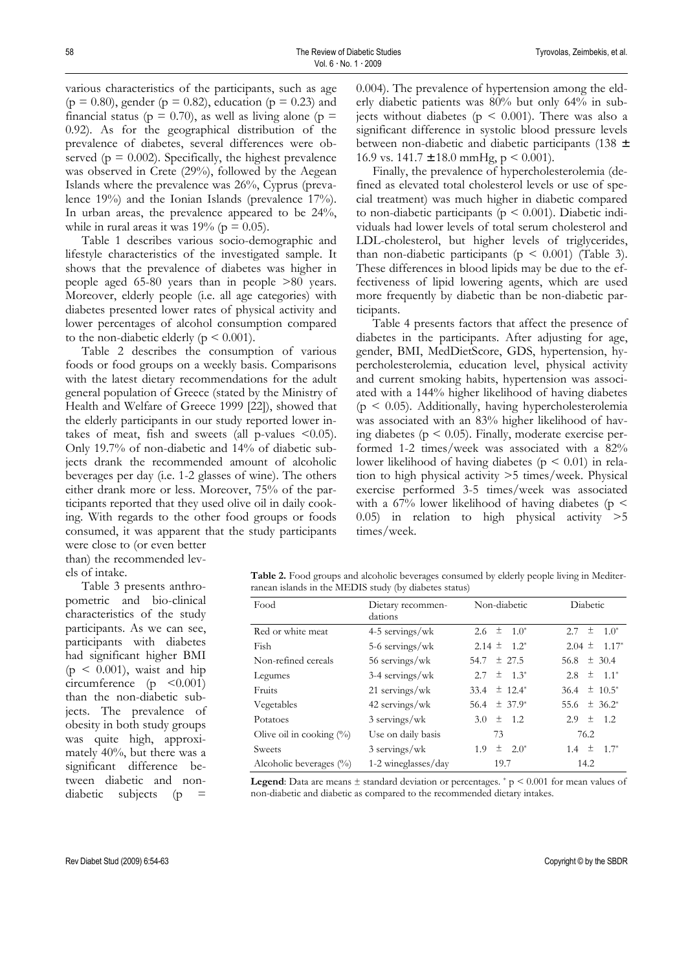various characteristics of the participants, such as age  $(p = 0.80)$ , gender  $(p = 0.82)$ , education  $(p = 0.23)$  and financial status ( $p = 0.70$ ), as well as living alone ( $p =$ 0.92). As for the geographical distribution of the prevalence of diabetes, several differences were observed ( $p = 0.002$ ). Specifically, the highest prevalence was observed in Crete (29%), followed by the Aegean Islands where the prevalence was 26%, Cyprus (prevalence 19%) and the Ionian Islands (prevalence 17%). In urban areas, the prevalence appeared to be 24%, while in rural areas it was 19% ( $p = 0.05$ ).

Table 1 describes various socio-demographic and lifestyle characteristics of the investigated sample. It shows that the prevalence of diabetes was higher in people aged 65-80 years than in people >80 years. Moreover, elderly people (i.e. all age categories) with diabetes presented lower rates of physical activity and lower percentages of alcohol consumption compared to the non-diabetic elderly ( $p \le 0.001$ ).

Table 2 describes the consumption of various foods or food groups on a weekly basis. Comparisons with the latest dietary recommendations for the adult general population of Greece (stated by the Ministry of Health and Welfare of Greece 1999 [22]), showed that the elderly participants in our study reported lower intakes of meat, fish and sweets (all p-values  $\leq 0.05$ ). Only 19.7% of non-diabetic and 14% of diabetic subjects drank the recommended amount of alcoholic beverages per day (i.e. 1-2 glasses of wine). The others either drank more or less. Moreover, 75% of the participants reported that they used olive oil in daily cooking. With regards to the other food groups or foods consumed, it was apparent that the study participants were close to (or even better

than) the recommended levels of intake.

Table 3 presents anthropometric and bio-clinical characteristics of the study participants. As we can see, participants with diabetes had significant higher BMI  $(p < 0.001)$ , waist and hip circumference  $(p \leq 0.001)$ than the non-diabetic subjects. The prevalence of obesity in both study groups was quite high, approximately 40%, but there was a significant difference between diabetic and non $diabetic$  subjects (p =

0.004). The prevalence of hypertension among the elderly diabetic patients was 80% but only 64% in subjects without diabetes ( $p < 0.001$ ). There was also a significant difference in systolic blood pressure levels between non-diabetic and diabetic participants (138 ± 16.9 vs.  $141.7 \pm 18.0$  mmHg,  $p \le 0.001$ ).

Finally, the prevalence of hypercholesterolemia (defined as elevated total cholesterol levels or use of special treatment) was much higher in diabetic compared to non-diabetic participants ( $p \leq 0.001$ ). Diabetic individuals had lower levels of total serum cholesterol and LDL-cholesterol, but higher levels of triglycerides, than non-diabetic participants ( $p \leq 0.001$ ) (Table 3). These differences in blood lipids may be due to the effectiveness of lipid lowering agents, which are used more frequently by diabetic than be non-diabetic participants.

Table 4 presents factors that affect the presence of diabetes in the participants. After adjusting for age, gender, BMI, MedDietScore, GDS, hypertension, hypercholesterolemia, education level, physical activity and current smoking habits, hypertension was associated with a 144% higher likelihood of having diabetes  $(p \leq 0.05)$ . Additionally, having hypercholesterolemia was associated with an 83% higher likelihood of having diabetes ( $p < 0.05$ ). Finally, moderate exercise performed 1-2 times/week was associated with a 82% lower likelihood of having diabetes ( $p \leq 0.01$ ) in relation to high physical activity >5 times/week. Physical exercise performed 3-5 times/week was associated with a 67% lower likelihood of having diabetes ( $p \leq$ 0.05) in relation to high physical activity >5 times/week.

| Table 2. Food groups and alcoholic beverages consumed by elderly people living in Mediter- |  |  |  |
|--------------------------------------------------------------------------------------------|--|--|--|
| ranean islands in the MEDIS study (by diabetes status)                                     |  |  |  |

| Food                        | Dietary recommen-<br>dations | Non-diabetic               | Diabetic                     |
|-----------------------------|------------------------------|----------------------------|------------------------------|
| Red or white meat           | 4-5 servings/wk              | 2.6 $\pm$ 1.0 <sup>*</sup> | $2.7 \pm 1.0^*$              |
| Fish                        | 5-6 servings/wk              | $2.14 \pm 1.2^*$           | $2.04 \pm 1.17^*$            |
| Non-refined cereals         | 56 servings/wk               | 54.7 $\pm$ 27.5            | 56.8 $\pm$ 30.4              |
| Legumes                     | $3-4$ servings/wk            | 2.7 $\pm$ 1.3*             | 2.8 $\pm$ 1.1 <sup>*</sup>   |
| Fruits                      | $21$ servings/wk             | 33.4 $\pm$ 12.4*           | $36.4 \pm 10.5^*$            |
| Vegetables                  | $42$ servings/wk             | $56.4 \pm 37.9^*$          | 55.6 $\pm$ 36.2 <sup>*</sup> |
| Potatoes                    | 3 servings/wk                | 3.0 $\pm$ 1.2              | 2.9 $\pm$ 1.2                |
| Olive oil in cooking $(\%)$ | Use on daily basis           | 73                         | 76.2                         |
| Sweets                      | $3$ servings/wk              | $1.9 \pm 2.0^*$            | $1.4 \pm 1.7^*$              |
| Alcoholic beverages $(\% )$ | 1-2 wineglasses/day          | 19.7                       | 14.2                         |

**Legend**: Data are means ± standard deviation or percentages. \* p < 0.001 for mean values of non-diabetic and diabetic as compared to the recommended dietary intakes.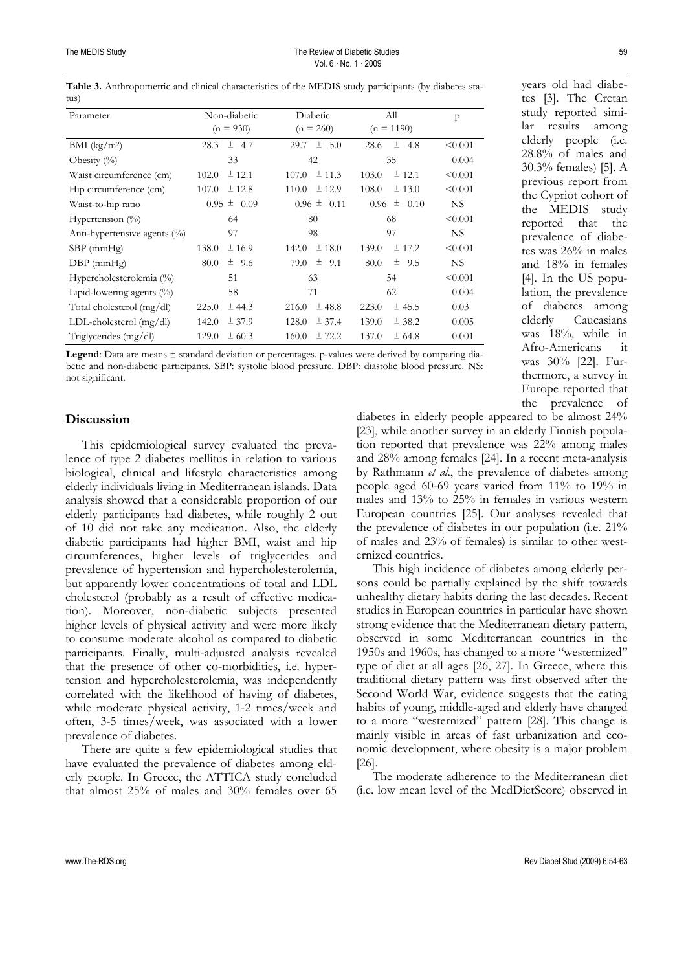| Parameter                    | Non-diabetic      | Diabetic          | All               | $\mathsf{p}$ |
|------------------------------|-------------------|-------------------|-------------------|--------------|
|                              | $(n = 930)$       | $(n = 260)$       | $(n = 1190)$      |              |
| $BMI$ (kg/m <sup>2</sup> )   | $\pm$ 4.7<br>28.3 | $29.7 \pm 5.0$    | $±$ 4.8<br>28.6   | < 0.001      |
| Obesity $(\%)$               | 33                | 42                | 35                | 0.004        |
| Waist circumference (cm)     | $±$ 12.1<br>102.0 | ± 11.3<br>107.0   | $±$ 12.1<br>103.0 | < 0.001      |
| Hip circumference (cm)       | ± 12.8<br>107.0   | ± 12.9<br>110.0   | 108.0<br>± 13.0   | < 0.001      |
| Waist-to-hip ratio           | $0.95 \pm 0.09$   | $0.96 \pm 0.11$   | $0.96 \pm 0.10$   | NS.          |
| Hypertension $(\%)$          | 64                | 80                | 68                | < 0.001      |
| Anti-hypertensive agents (%) | 97                | 98                | 97                | NS.          |
| $SBP$ (mm $Hg$ )             | 138.0<br>± 16.9   | $±$ 18.0<br>142.0 | 139.0<br>± 17.2   | < 0.001      |
| $DBP$ (mmHg)                 | 80.0<br>± 9.6     | $\pm$ 9.1<br>79.0 | $±$ 9.5<br>80.0   | NS.          |
| Hypercholesterolemia (%)     | 51                | 63                | 54                | < 0.001      |
| Lipid-lowering agents $(\%)$ | 58                | 71                | 62                | 0.004        |
| Total cholesterol (mg/dl)    | 225.0<br>± 44.3   | $±$ 48.8<br>216.0 | 223.0<br>$±$ 45.5 | 0.03         |
| LDL-cholesterol $(mg/dl)$    | 142.0<br>± 37.9   | 128.0<br>± 37.4   | 139.0<br>± 38.2   | 0.005        |
| Triglycerides (mg/dl)        | 129.0<br>± 60.3   | ± 72.2<br>160.0   | 137.0<br>± 64.8   | 0.001        |

**Table 3.** Anthropometric and clinical characteristics of the MEDIS study participants (by diabetes status)

**Legend**: Data are means ± standard deviation or percentages. p-values were derived by comparing diabetic and non-diabetic participants. SBP: systolic blood pressure. DBP: diastolic blood pressure. NS: not significant.

### **Discussion**

This epidemiological survey evaluated the prevalence of type 2 diabetes mellitus in relation to various biological, clinical and lifestyle characteristics among elderly individuals living in Mediterranean islands. Data analysis showed that a considerable proportion of our elderly participants had diabetes, while roughly 2 out of 10 did not take any medication. Also, the elderly diabetic participants had higher ΒΜΙ, waist and hip circumferences, higher levels of triglycerides and prevalence of hypertension and hypercholesterolemia, but apparently lower concentrations of total and LDL cholesterol (probably as a result of effective medication). Moreover, non-diabetic subjects presented higher levels of physical activity and were more likely to consume moderate alcohol as compared to diabetic participants. Finally, multi-adjusted analysis revealed that the presence of other co-morbidities, i.e. hypertension and hypercholesterolemia, was independently correlated with the likelihood of having of diabetes, while moderate physical activity, 1-2 times/week and often, 3-5 times/week, was associated with a lower prevalence of diabetes.

There are quite a few epidemiological studies that have evaluated the prevalence of diabetes among elderly people. In Greece, the ATTICA study concluded that almost 25% of males and 30% females over 65

the prevalence of diabetes in elderly people appeared to be almost 24% [23], while another survey in an elderly Finnish population reported that prevalence was 22% among males and 28% among females [24]. In a recent meta-analysis by Rathmann *et al*., the prevalence of diabetes among people aged 60-69 years varied from 11% to 19% in males and 13% to 25% in females in various western European countries [25]. Our analyses revealed that the prevalence of diabetes in our population (i.e. 21% of males and 23% of females) is similar to other westernized countries.

This high incidence of diabetes among elderly persons could be partially explained by the shift towards unhealthy dietary habits during the last decades. Recent studies in European countries in particular have shown strong evidence that the Mediterranean dietary pattern, observed in some Mediterranean countries in the 1950s and 1960s, has changed to a more "westernized" type of diet at all ages [26, 27]. In Greece, where this traditional dietary pattern was first observed after the Second World War, evidence suggests that the eating habits of young, middle-aged and elderly have changed to a more "westernized" pattern [28]. This change is mainly visible in areas of fast urbanization and economic development, where obesity is a major problem [26].

The moderate adherence to the Mediterranean diet (i.e. low mean level of the MedDietScore) observed in

years old had diabetes [3]. The Cretan study reported similar results among elderly people (i.e. 28.8% of males and 30.3% females) [5]. A previous report from the Cypriot cohort of the MEDIS study reported that the prevalence of diabetes was 26% in males and 18% in females [4]. In the US population, the prevalence of diabetes among elderly Caucasians was 18%, while in Afro-Americans it was 30% [22]. Furthermore, a survey in Europe reported that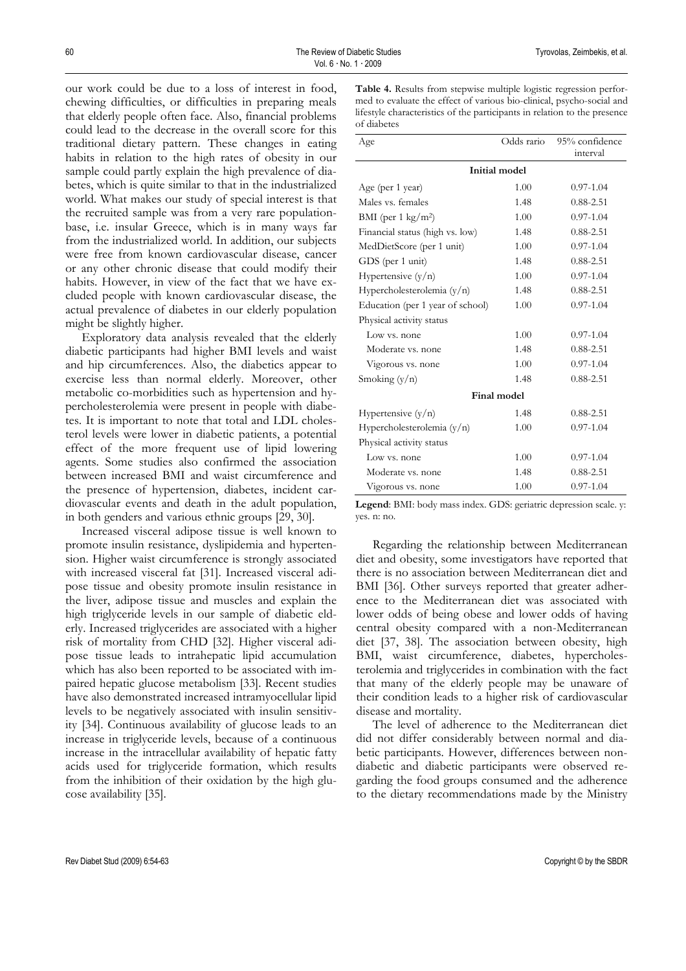60 The Review of Diabetic Studies Tyrovolas, Zeimbekis, et al. Vol. 6 ⋅ No. 1 ⋅ 2009

our work could be due to a loss of interest in food, chewing difficulties, or difficulties in preparing meals that elderly people often face. Also, financial problems could lead to the decrease in the overall score for this traditional dietary pattern. These changes in eating habits in relation to the high rates of obesity in our sample could partly explain the high prevalence of diabetes, which is quite similar to that in the industrialized world. What makes our study of special interest is that the recruited sample was from a very rare populationbase, i.e. insular Greece, which is in many ways far from the industrialized world. In addition, our subjects were free from known cardiovascular disease, cancer or any other chronic disease that could modify their habits. However, in view of the fact that we have excluded people with known cardiovascular disease, the actual prevalence of diabetes in our elderly population might be slightly higher.

Exploratory data analysis revealed that the elderly diabetic participants had higher BMI levels and waist and hip circumferences. Also, the diabetics appear to exercise less than normal elderly. Moreover, other metabolic co-morbidities such as hypertension and hypercholesterolemia were present in people with diabetes. It is important to note that total and LDL cholesterol levels were lower in diabetic patients, a potential effect of the more frequent use of lipid lowering agents. Some studies also confirmed the association between increased BMI and waist circumference and the presence of hypertension, diabetes, incident cardiovascular events and death in the adult population, in both genders and various ethnic groups [29, 30].

Increased visceral adipose tissue is well known to promote insulin resistance, dyslipidemia and hypertension. Higher waist circumference is strongly associated with increased visceral fat [31]. Increased visceral adipose tissue and obesity promote insulin resistance in the liver, adipose tissue and muscles and explain the high triglyceride levels in our sample of diabetic elderly. Increased triglycerides are associated with a higher risk of mortality from CHD [32]. Higher visceral adipose tissue leads to intrahepatic lipid accumulation which has also been reported to be associated with impaired hepatic glucose metabolism [33]. Recent studies have also demonstrated increased intramyocellular lipid levels to be negatively associated with insulin sensitivity [34]. Continuous availability of glucose leads to an increase in triglyceride levels, because of a continuous increase in the intracellular availability of hepatic fatty acids used for triglyceride formation, which results from the inhibition of their oxidation by the high glucose availability [35].

**Table 4.** Results from stepwise multiple logistic regression performed to evaluate the effect of various bio-clinical, psycho-social and lifestyle characteristics of the participants in relation to the presence of diabetes

| Age                              | Odds rario | 95% confidence<br>interval |  |  |  |
|----------------------------------|------------|----------------------------|--|--|--|
| <b>Initial model</b>             |            |                            |  |  |  |
| Age (per 1 year)                 | 1.00       | $0.97 - 1.04$              |  |  |  |
| Males vs. females                | 1.48       | $0.88 - 2.51$              |  |  |  |
| BMI (per 1 kg/m <sup>2</sup> )   | 1.00       | $0.97 - 1.04$              |  |  |  |
| Financial status (high vs. low)  | 1.48       | $0.88 - 2.51$              |  |  |  |
| MedDietScore (per 1 unit)        | 1.00       | $0.97 - 1.04$              |  |  |  |
| GDS (per 1 unit)                 | 1.48       | $0.88 - 2.51$              |  |  |  |
| Hypertensive $(y/n)$             | 1.00       | $0.97 - 1.04$              |  |  |  |
| Hypercholesterolemia $(y/n)$     | 1.48       | $0.88 - 2.51$              |  |  |  |
| Education (per 1 year of school) | 1.00       | $0.97 - 1.04$              |  |  |  |
| Physical activity status         |            |                            |  |  |  |
| Low vs. none                     | 1.00       | $0.97 - 1.04$              |  |  |  |
| Moderate vs. none                | 1.48       | $0.88 - 2.51$              |  |  |  |
| Vigorous vs. none                | 1.00       | $0.97 - 1.04$              |  |  |  |
| Smoking $(y/n)$                  | 1.48       | $0.88 - 2.51$              |  |  |  |
| Final model                      |            |                            |  |  |  |
| Hypertensive (y/n)               | 1.48       | $0.88 - 2.51$              |  |  |  |
| Hypercholesterolemia $(y/n)$     | 1.00       | $0.97 - 1.04$              |  |  |  |
| Physical activity status         |            |                            |  |  |  |
| Low vs. none                     | 1.00       | $0.97 - 1.04$              |  |  |  |
| Moderate vs. none                | 1.48       | $0.88 - 2.51$              |  |  |  |
| Vigorous vs. none                | 1.00       | $0.97 - 1.04$              |  |  |  |

**Legend**: BMI: body mass index. GDS: geriatric depression scale. y: yes. n: no.

Regarding the relationship between Mediterranean diet and obesity, some investigators have reported that there is no association between Mediterranean diet and BMI [36]. Other surveys reported that greater adherence to the Mediterranean diet was associated with lower odds of being obese and lower odds of having central obesity compared with a non-Mediterranean diet [37, 38]. The association between obesity, high BMI, waist circumference, diabetes, hypercholesterolemia and triglycerides in combination with the fact that many of the elderly people may be unaware of their condition leads to a higher risk of cardiovascular disease and mortality.

The level of adherence to the Mediterranean diet did not differ considerably between normal and diabetic participants. However, differences between nondiabetic and diabetic participants were observed regarding the food groups consumed and the adherence to the dietary recommendations made by the Ministry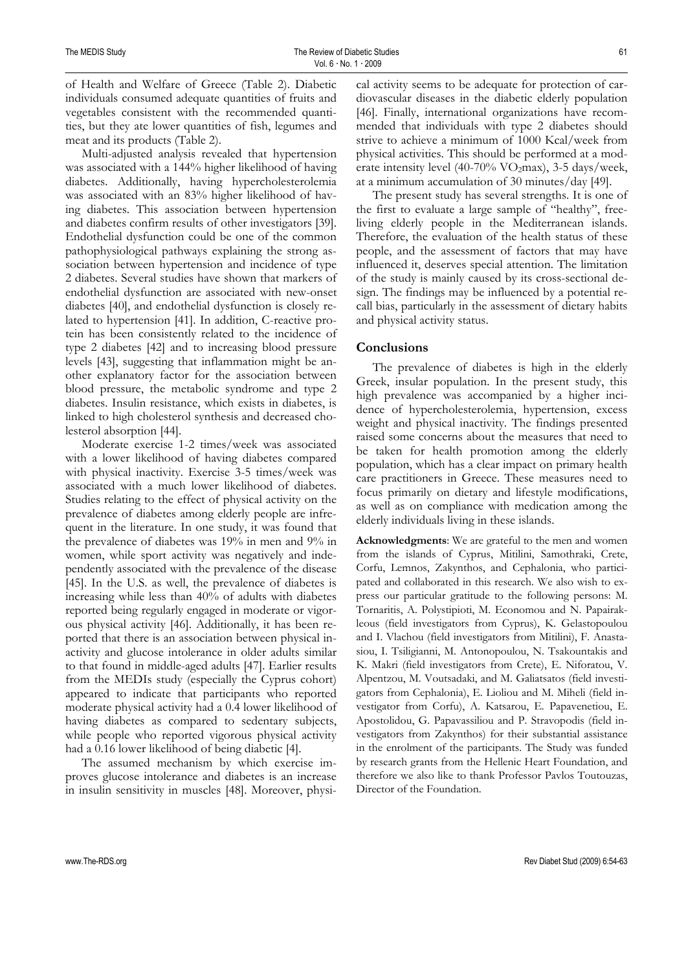of Health and Welfare of Greece (Table 2). Diabetic individuals consumed adequate quantities of fruits and vegetables consistent with the recommended quantities, but they ate lower quantities of fish, legumes and meat and its products (Table 2).

Multi-adjusted analysis revealed that hypertension was associated with a 144% higher likelihood of having diabetes. Additionally, having hypercholesterolemia was associated with an 83% higher likelihood of having diabetes. This association between hypertension and diabetes confirm results of other investigators [39]. Endothelial dysfunction could be one of the common pathophysiological pathways explaining the strong association between hypertension and incidence of type 2 diabetes. Several studies have shown that markers of endothelial dysfunction are associated with new-onset diabetes [40], and endothelial dysfunction is closely related to hypertension [41]. In addition, C-reactive protein has been consistently related to the incidence of type 2 diabetes [42] and to increasing blood pressure levels [43], suggesting that inflammation might be another explanatory factor for the association between blood pressure, the metabolic syndrome and type 2 diabetes. Insulin resistance, which exists in diabetes, is linked to high cholesterol synthesis and decreased cholesterol absorption [44].

Moderate exercise 1-2 times/week was associated with a lower likelihood of having diabetes compared with physical inactivity. Exercise 3-5 times/week was associated with a much lower likelihood of diabetes. Studies relating to the effect of physical activity on the prevalence of diabetes among elderly people are infrequent in the literature. In one study, it was found that the prevalence of diabetes was 19% in men and 9% in women, while sport activity was negatively and independently associated with the prevalence of the disease [45]. In the U.S. as well, the prevalence of diabetes is increasing while less than 40% of adults with diabetes reported being regularly engaged in moderate or vigorous physical activity [46]. Additionally, it has been reported that there is an association between physical inactivity and glucose intolerance in older adults similar to that found in middle-aged adults [47]. Earlier results from the MEDIs study (especially the Cyprus cohort) appeared to indicate that participants who reported moderate physical activity had a 0.4 lower likelihood of having diabetes as compared to sedentary subjects, while people who reported vigorous physical activity had a 0.16 lower likelihood of being diabetic [4].

The assumed mechanism by which exercise improves glucose intolerance and diabetes is an increase in insulin sensitivity in muscles [48]. Moreover, physical activity seems to be adequate for protection of cardiovascular diseases in the diabetic elderly population [46]. Finally, international organizations have recommended that individuals with type 2 diabetes should strive to achieve a minimum of 1000 Kcal/week from physical activities. This should be performed at a moderate intensity level  $(40-70\% \text{ VO}_2 \text{max})$ , 3-5 days/week, at a minimum accumulation of 30 minutes/day [49].

The present study has several strengths. It is one of the first to evaluate a large sample of "healthy", freeliving elderly people in the Mediterranean islands. Therefore, the evaluation of the health status of these people, and the assessment of factors that may have influenced it, deserves special attention. The limitation of the study is mainly caused by its cross-sectional design. The findings may be influenced by a potential recall bias, particularly in the assessment of dietary habits and physical activity status.

# **Conclusions**

The prevalence of diabetes is high in the elderly Greek, insular population. In the present study, this high prevalence was accompanied by a higher incidence of hypercholesterolemia, hypertension, excess weight and physical inactivity. The findings presented raised some concerns about the measures that need to be taken for health promotion among the elderly population, which has a clear impact on primary health care practitioners in Greece. These measures need to focus primarily on dietary and lifestyle modifications, as well as on compliance with medication among the elderly individuals living in these islands.

**Acknowledgments**: We are grateful to the men and women from the islands of Cyprus, Mitilini, Samothraki, Crete, Corfu, Lemnos, Zakynthos, and Cephalonia, who participated and collaborated in this research. We also wish to express our particular gratitude to the following persons: M. Tornaritis, A. Polystipioti, M. Economou and N. Papairakleous (field investigators from Cyprus), K. Gelastopoulou and I. Vlachou (field investigators from Mitilini), F. Anastasiou, I. Tsiligianni, M. Antonopoulou, N. Tsakountakis and K. Makri (field investigators from Crete), E. Niforatou, V. Alpentzou, M. Voutsadaki, and M. Galiatsatos (field investigators from Cephalonia), E. Lioliou and M. Miheli (field investigator from Corfu), A. Katsarou, E. Papavenetiou, E. Apostolidou, G. Papavassiliou and P. Stravopodis (field investigators from Zakynthos) for their substantial assistance in the enrolment of the participants. The Study was funded by research grants from the Hellenic Heart Foundation, and therefore we also like to thank Professor Pavlos Toutouzas, Director of the Foundation.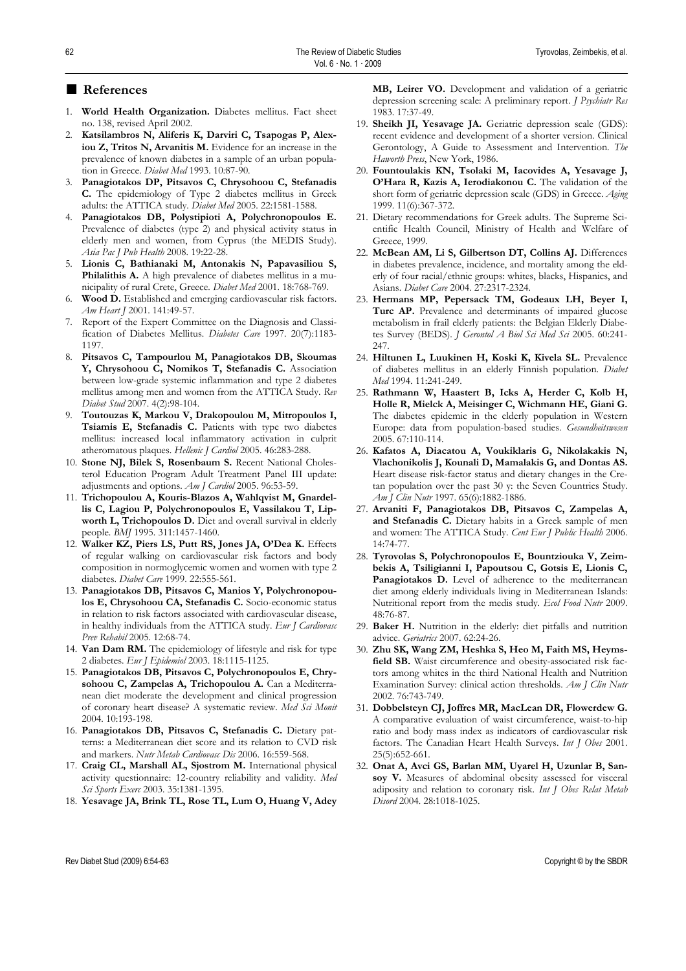## ■ **References**

- 1. **World Health Organization.** Diabetes mellitus. Fact sheet no. 138, revised April 2002.
- 2. **Katsilambros N, Aliferis K, Darviri C, Tsapogas P, Alexiou Z, Tritos N, Arvanitis M.** Evidence for an increase in the prevalence of known diabetes in a sample of an urban population in Greece. *Diabet Med* 1993. 10*:*87-90*.*
- 3. **Panagiotakos DP, Pitsavos C, Chrysohoou C, Stefanadis C.** The epidemiology of Type 2 diabetes mellitus in Greek adults: the ATTICA study. *Diabet Med* 2005. 22:1581-1588.
- 4. **Panagiotakos DB, Polystipioti A, Polychronopoulos E.** Prevalence of diabetes (type 2) and physical activity status in elderly men and women, from Cyprus (the MEDIS Study). *Asia Pac J Pub Health* 2008. 19:22-28.
- 5. **Lionis C, Bathianaki M, Antonakis N, Papavasiliou S, Philalithis A.** A high prevalence of diabetes mellitus in a municipality of rural Crete, Greece. *Diabet Med* 2001. 18:768-769.
- 6. **Wood D.** Established and emerging cardiovascular risk factors. *Am Heart J* 2001. 141:49-57.
- 7. Report of the Expert Committee on the Diagnosis and Classification of Diabetes Mellitus. *Diabetes Care* 1997. 20(7):1183- 1197.
- 8. **Pitsavos C, Tampourlou M, Panagiotakos DB, Skoumas Y, Chrysohoou C, Nomikos T, Stefanadis C.** Association between low-grade systemic inflammation and type 2 diabetes mellitus among men and women from the ATTICA Study. *Rev Diabet Stud* 2007. 4(2):98-104.
- 9. **Toutouzas K, Markou V, Drakopoulou M, Mitropoulos I, Tsiamis E, Stefanadis C.** Patients with type two diabetes mellitus: increased local inflammatory activation in culprit atheromatous plaques. *Hellenic J Cardiol* 2005. 46:283-288.
- 10. **Stone NJ, Bilek S, Rosenbaum S.** Recent National Cholesterol Education Program Adult Treatment Panel III update: adjustments and options. *Am J Cardiol* 2005. 96:53-59.
- 11. **Trichopoulou A, Kouris-Blazos A, Wahlqvist M, Gnardellis C, Lagiou P, Polychronopoulos E, Vassilakou T, Lip**worth L, Trichopoulos D. Diet and overall survival in elderly people. *BMJ* 1995. 311:1457-1460.
- 12. **Walker KZ, Piers LS, Putt RS, Jones JA, O'Dea K.** Effects of regular walking on cardiovascular risk factors and body composition in normoglycemic women and women with type 2 diabetes. *Diabet Care* 1999. 22:555-561.
- 13. **Panagiotakos DB, Pitsavos C, Manios Y, Polychronopoulos E, Chrysohoou CA, Stefanadis C.** Socio-economic status in relation to risk factors associated with cardiovascular disease, in healthy individuals from the ATTICA study. *Eur J Cardiovasc Prev Rehabil* 2005. 12:68-74.
- 14. **Van Dam RM.** The epidemiology of lifestyle and risk for type 2 diabetes. *Eur J Epidemiol* 2003. 18:1115-1125.
- 15. **Panagiotakos DB, Pitsavos C, Polychronopoulos E, Chrysohoou C, Zampelas A, Trichopoulou A.** Can a Mediterranean diet moderate the development and clinical progression of coronary heart disease? A systematic review. *Med Sci Monit* 2004. 10:193-198.
- 16. **Panagiotakos DB, Pitsavos C, Stefanadis C.** Dietary patterns: a Mediterranean diet score and its relation to CVD risk and markers. *Nutr Metab Cardiovasc Dis* 2006. 16:559-568.
- 17. **Craig CL, Marshall AL, Sjostrom M.** International physical activity questionnaire: 12-country reliability and validity. *Med Sci Sports Exerc* 2003. 35:1381-1395.
- 18. **Yesavage JA, Brink TL, Rose TL, Lum O, Huang V, Adey**

**MB, Leirer VO.** Development and validation of a geriatric depression screening scale: A preliminary report. *J Psychiatr Res* 1983. 17:37-49.

- 19. **Sheikh JI, Yesavage JA.** Geriatric depression scale (GDS): recent evidence and development of a shorter version. Clinical Gerontology, A Guide to Assessment and Intervention. *The Haworth Press*, New York, 1986.
- 20. **Fountoulakis KN, Tsolaki M, Iacovides A, Yesavage J, O'Hara R, Kazis A, Ierodiakonou C.** The validation of the short form of geriatric depression scale (GDS) in Greece. *Aging* 1999. 11(6):367-372.
- 21. Dietary recommendations for Greek adults. The Supreme Scientific Health Council, Ministry of Health and Welfare of Greece, 1999.
- 22. **McBean AM, Li S, Gilbertson DT, Collins AJ.** Differences in diabetes prevalence, incidence, and mortality among the elderly of four racial/ethnic groups: whites, blacks, Hispanics, and Asians. *Diabet Care* 2004. 27:2317-2324.
- 23. **Hermans MP, Pepersack TM, Godeaux LH, Beyer I, Turc AP.** Prevalence and determinants of impaired glucose metabolism in frail elderly patients: the Belgian Elderly Diabetes Survey (BEDS). *J Gerontol A Biol Sci Med Sci* 2005. 60:241- 247.
- 24. **Hiltunen L, Luukinen H, Koski K, Kivela SL.** Prevalence of diabetes mellitus in an elderly Finnish population. *Diabet Med* 1994. 11:241-249.
- 25. **Rathmann W, Haastert B, Icks A, Herder C, Kolb H, Holle R, Mielck A, Meisinger C, Wichmann HE, Giani G.** The diabetes epidemic in the elderly population in Western Europe: data from population-based studies. *Gesundheitswesen* 2005. 67:110-114.
- 26. **Kafatos A, Diacatou A, Voukiklaris G, Nikolakakis N, Vlachonikolis J, Kounali D, Mamalakis G, and Dontas AS.** Heart disease risk-factor status and dietary changes in the Cretan population over the past 30 y: the Seven Countries Study. *Am J Clin Nutr* 1997. 65(6):1882-1886.
- 27. **Arvaniti F, Panagiotakos DB, Pitsavos C, Zampelas A, and Stefanadis C.** Dietary habits in a Greek sample of men and women: The ATTICA Study. *Cent Eur J Public Health* 2006. 14:74-77.
- 28. **Tyrovolas S, Polychronopoulos E, Bountziouka V, Zeimbekis A, Tsiligianni I, Papoutsou C, Gotsis E, Lionis C,**  Panagiotakos D. Level of adherence to the mediterranean diet among elderly individuals living in Mediterranean Islands: Nutritional report from the medis study. *Ecol Food Nutr* 2009. 48:76-87.
- 29. **Baker H.** Nutrition in the elderly: diet pitfalls and nutrition advice. *Geriatrics* 2007. 62:24-26.
- 30. **Zhu SK, Wang ZM, Heshka S, Heo M, Faith MS, Heymsfield SB.** Waist circumference and obesity-associated risk factors among whites in the third National Health and Nutrition Examination Survey: clinical action thresholds. *Am J Clin Nutr*  2002. 76:743-749.
- 31. **Dobbelsteyn CJ, Joffres MR, MacLean DR, Flowerdew G.** A comparative evaluation of waist circumference, waist-to-hip ratio and body mass index as indicators of cardiovascular risk factors. The Canadian Heart Health Surveys. *Int J Obes* 2001. 25(5):652-661.
- 32. **Onat A, Avci GS, Barlan MM, Uyarel H, Uzunlar B, Sansoy V.** Measures of abdominal obesity assessed for visceral adiposity and relation to coronary risk. *Int J Obes Relat Metab Disord* 2004. 28:1018-1025.